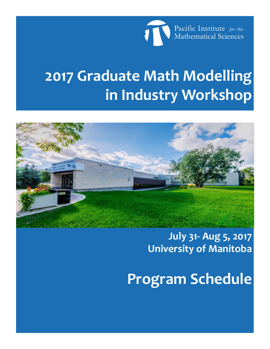

# **2017 Graduate Math Modelling in Industry Workshop**



**July 31- Aug 5, 2017 University of Manitoba**

**Program Schedule**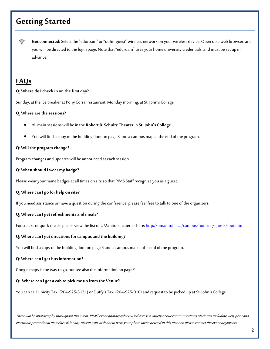# **Getting Started**

令 **Get connected:** Select the "eduroam" or "uofm-guest" wireless network on your wireless device. Open up a web browser, and you will be directed to the login page. Note that "eduroam" uses your home university credentials, and must be set up in advance.

### **FAQs**

#### **Q: Where do I check in on the first day?**

Sunday, at the ice breaker at Pony Corral restaurant. Monday morning, at St. John's College

#### **Q: Where are the sessions?**

- All main sessions will be in the **Robert B. Schultz Theater** in **St. John's College**
- You will find a copy of the building floor on page 8 and a campus map at the end of the program.

#### **Q: Will the program change?**

Program changes and updates will be announced at each session.

#### **Q: When should I wear my badge?**

Please wear your name badges at all times on site so that PIMS Staff recognize you as a guest.

#### **Q: Where can I go for help on site?**

If you need assistance or have a question during the conference, please feel free to talk to one of the organizers.

#### **Q: Where can I get refreshments and meals?**

For snacks or quick meals, please view the list of UManitoba eateries here:<http://umanitoba.ca/campus/housing/guests/food.html>

#### **Q: Where can I get directions for campus and the building?**

You will find a copy of the building floor on page 3 and a campus map at the end of the program.

#### **Q: Where can I get bus information?**

Google maps is the way to go, but see also the information on page 9.

#### **Q: Where can I get a cab to pick me up from the Venue?**

You can call Unicity Taxi (204-925-3131) or Duffy's Taxi (204-925-010) and request to be picked up at St. John's College

There will be photography throughout this event. PIMS' event photography is used across a variety of our communications platforms including web, print and electronic promotional materials. If, for any reason, you wish not to have your photo taken or used in this manner, please contact the event organizers.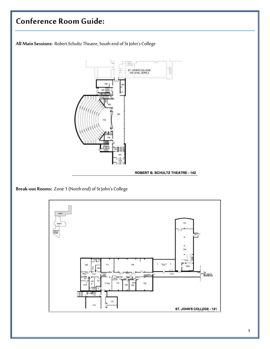

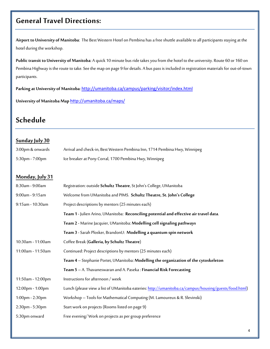### **General Travel Directions:**

**Airport to University of Manitoba**: The Best Western Hotel on Pembina has a free shuttle available to all participants staying at the hotel during the workshop.

**Public transit to University of Manitoba**: A quick 10 minute bus ride takes you from the hotel to the university. Route 60 or 160 on Pembina Highway is the route to take. See the map on page 9 for details. A bus pass is included in registration materials for out-of-town participants.

Parking at University of Manitoba: <http://umanitoba.ca/campus/parking/visitor/index.html>

**University of Manitoba Map** <http://umanitoba.ca/maps/>

# **Schedule**

#### **Sunday July 30**

| 3:00pm & onwards | Arrival and check-in, Best Western Pembina Inn, 1714 Pembina Hwy, Winnipeg |
|------------------|----------------------------------------------------------------------------|
| 5:30pm - 7:00pm  | Ice breaker at Pony Corral, 1700 Pembina Hwy, Winnipeg                     |

#### **Monday, July 31**

| 8:30am - 9:00am   | Registration: outside Schultz Theatre, St John's College, UManitoba                                   |  |
|-------------------|-------------------------------------------------------------------------------------------------------|--|
| 9:00am - 9:15am   | Welcome from UManitoba and PIMS. Schultz Theatre, St. John's College                                  |  |
| 9:15am - 10:30am  | Project descriptions by mentors (25 minutes each)                                                     |  |
|                   | Team 1 - Julien Arino, UManitoba: Reconciling potential and effective air travel data.                |  |
|                   | Team 2 - Marine Jacquier, UManitoba: Modelling cell signaling pathways                                |  |
|                   | Team 3 - Sarah Plosker, BrandonU: Modelling a quantum spin network                                    |  |
| 10:30am - 11:00am | Coffee Break (Galleria, by Schultz Theatre)                                                           |  |
| 11:00am - 11:50am | Continued: Project descriptions by mentors (25 minutes each)                                          |  |
|                   | Team 4 - Stephanie Portet, UManitoba: Modelling the organization of the cytoskeleton                  |  |
|                   | Team 5 - A. Thavaneswaran and A. Paseka: Financial Risk Forecasting                                   |  |
| 11:50am - 12:00pm | Instructions for afternoon / week                                                                     |  |
| 12:00pm - 1:00pm  | Lunch (please view a list of UManitoba eateries: http://umanitoba.ca/campus/housing/guests/food.html) |  |
| 1:00pm - 2:30pm   | Workshop - Tools for Mathematical Computing (M. Lamoureux & R. Slevinski)                             |  |
| 2:30pm - 5:30pm   | Start work on projects (Rooms listed on page 9)                                                       |  |
| 5:30pm onward     | Free evening/Work on projects as per group preference                                                 |  |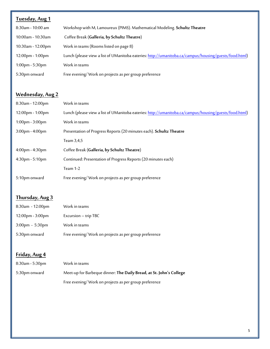| Tuesday, Aug 1       |                                                                                                       |
|----------------------|-------------------------------------------------------------------------------------------------------|
| $8:30$ am - 10:00 am | Workshop with M, Lamoureux (PIMS). Mathematical Modeling. Schultz Theatre                             |
| $10:00$ am - 10:30am | Coffee Break (Galleria, by Schultz Theatre)                                                           |
| $10:30$ am - 12:00pm | Work in teams (Rooms listed on page 8)                                                                |
| 12:00pm - 1:00pm     | Lunch (please view a list of UManitoba eateries: http://umanitoba.ca/campus/housing/guests/food.html) |
| $1:00$ pm - 5:30pm   | Work in teams                                                                                         |
| 5:30pm onward        | Free evening/Work on projects as per group preference                                                 |

### **Wednesday, Aug 2**

| $8:30$ am - 12:00pm   | Work in teams                                                                                         |
|-----------------------|-------------------------------------------------------------------------------------------------------|
| 12:00pm - 1:00pm      | Lunch (please view a list of UManitoba eateries: http://umanitoba.ca/campus/housing/guests/food.html) |
| $1:00$ pm - $3:00$ pm | Work in teams                                                                                         |
| $3:00$ pm - $4:00$ pm | Presentation of Progress Reports (20 minutes each). Schultz Theatre                                   |
|                       | Team 3,4,5                                                                                            |
| $4:00$ pm - $4:30$ pm | Coffee Break (Galleria, by Schultz Theatre)                                                           |
| $4:30$ pm - 5:10pm    | Continued: Presentation of Progress Reports (20 minutes each)                                         |
|                       | Team 1-2                                                                                              |
| 5:10pm onward         | Free evening/Work on projects as per group preference                                                 |

### **Thursday, Aug 3**

| $8:30$ am - 12:00pm    | Work in teams                                         |
|------------------------|-------------------------------------------------------|
| $12:00$ pm - $3:00$ pm | Excursion - trip TBC                                  |
| $3:00$ pm - 5:30pm     | Work in teams                                         |
| 5:30pm onward          | Free evening/Work on projects as per group preference |

### **Friday, Aug 4**

| $8:30$ am - 5:30pm | Work in teams                                                       |
|--------------------|---------------------------------------------------------------------|
| 5:30pm onward      | Meet-up for Barbeque dinner: The Daily Bread, at St. John's College |
|                    | Free evening/Work on projects as per group preference               |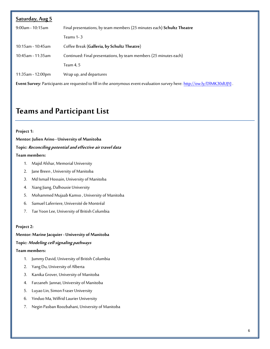| Saturday, Aug 5                                                                                                           |                                                                        |  |
|---------------------------------------------------------------------------------------------------------------------------|------------------------------------------------------------------------|--|
| $9:00$ am - 10:15am                                                                                                       | Final presentations, by team members (25 minutes each) Schultz Theatre |  |
|                                                                                                                           | Teams 1-3                                                              |  |
| $10:15$ am - 10:45am                                                                                                      | Coffee Break (Galleria, by Schultz Theatre)                            |  |
| 10:45am - 11:35am                                                                                                         | Continued: Final presentations, by team members (25 minutes each)      |  |
|                                                                                                                           | Team 4, 5                                                              |  |
| $11:35$ am - 12:00pm                                                                                                      | Wrap up, and departures                                                |  |
| Event Survey: Participants are requested to fill in the anonymous event evaluation survey here: http://ow.ly/DIMK30dUJYJ. |                                                                        |  |

# **Teams and Participant List**

#### **Project 1:**

**Mentor: Julien Arino - University of Manitoba** 

#### **Topic: Reconciling potential and effective air travel data**

#### **Team members:**

- 1. Majid Afshar, Memorial University
- 2. Jane Breen , University of Manitoba
- 3. Md Ismail Hossain, University of Manitoba
- 4. Xiang Jiang, Dalhousie University
- 5. Mohammed Mujaab Kamso , University of Manitoba
- 6. Samuel Laferriere, Université de Montréal
- 7. Tae Yoon Lee, University of British Columbia

#### **Project 2:**

#### **Mentor: Marine Jacquier - University of Manitoba**

#### **Topic: Modeling cell signaling pathways**

#### **Team members:**

- 1. Jummy David, University of British Columbia
- 2. Yang Du, University of Alberta
- 3. Kanika Grover, University of Manitoba
- 4. Farzaneh Jannat, University of Manitoba
- 5. Luyao Lin, Simon Fraser University
- 6. Yinduo Ma, Wilfrid Laurier University
- 7. Negin Pasban Roozbahani, University of Manitoba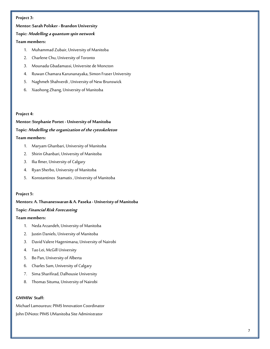#### **Project 3:**

#### **Mentor: Sarah Polsker - Brandon University**

#### **Topic: Modelling a quantum spin network**

#### **Team members:**

- 1. Muhammad Zubair, University of Manitoba
- 2. Charlene Chu, University of Toronto
- 3. Mounada Gbadamassi, Universite de Moncton
- 4. Ruwan Chamara Karunanayaka, Simon Fraser University
- 5. Naghmeh Shahverdi , University of New Brunswick
- 6. Xiaohong Zhang, University of Manitoba

#### **Project 4:**

**Mentor: Stephanie Portet - University of Manitoba Topic: Modelling the organization of the cytoskeleton Team members:** 

- 1. Maryam Ghanbari, University of Manitoba
- 2. Shirin Ghanbari, University of Manitoba
- 3. Ilia Ilmer, University of Calgary
- 4. Ryan Sherbo, University of Manitoba
- 5. Konstantinos Stamatis , University of Manitoba

#### **Project 5:**

#### **Mentors: A. Thavaneswaran & A. Paseka - Univeristy of Manitoba**

#### **Topic: Financial Risk Forecasting**

#### **Team members:**

- 1. Neda Arzandeh, University of Manitoba
- 2. Justin Daniels, University of Manitoba
- 3. David Valere Hagenimana, University of Nairobi
- 4. Tao Lei, McGill University
- 5. Bo Pan, University of Alberta
- 6. Charles Sam, University of Calgary
- 7. Sima Sharifirad, Dalhousie University
- 8. Thomas Situma, University of Nairobi

#### **GMMIW Staff:**

Michael Lamoureux: PIMS Innovation Coordinator John DiNoto: PIMS UManitoba Site Administrator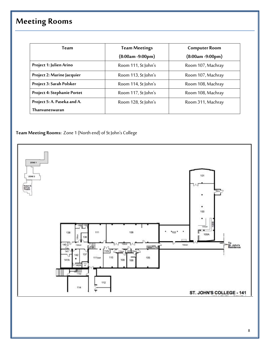# **Meeting Rooms**

| Team                        | <b>Team Meetings</b> | <b>Computer Room</b> |
|-----------------------------|----------------------|----------------------|
|                             | $(8:00am - 9:00pm)$  | $(8:00am - 9:00pm)$  |
| Project 1: Julien Arino     | Room 111, St John's  | Room 107, Machray    |
| Project 2: Marine Jacquier  | Room 113, St John's  | Room 107, Machray    |
| Project 3: Sarah Polsker    | Room 114, St John's  | Room 108, Machray    |
| Project 4: Stephanie Portet | Room 117, St John's  | Room 108, Machray    |
| Project 5: A. Paseka and A. | Room 128, St John's  | Room 311, Machray    |
| Thanyaneswaran              |                      |                      |

**Team Meeting Rooms:** Zone 1 (North end) of St John's College

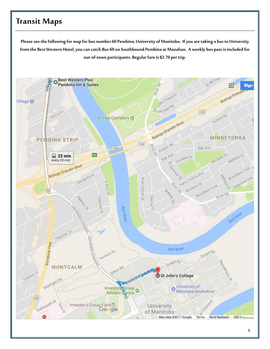## **Transit Maps**

**Please see the following for map for bus number 60 Pembina, University of Manitoba. If you are taking a bus to University from the Best Western Hotel, you can catch Bus 60 on Southbound Pembina at Manahan. A weekly bus pass is included for out-of-town participants. Regular fare is \$2.70 per trip.**